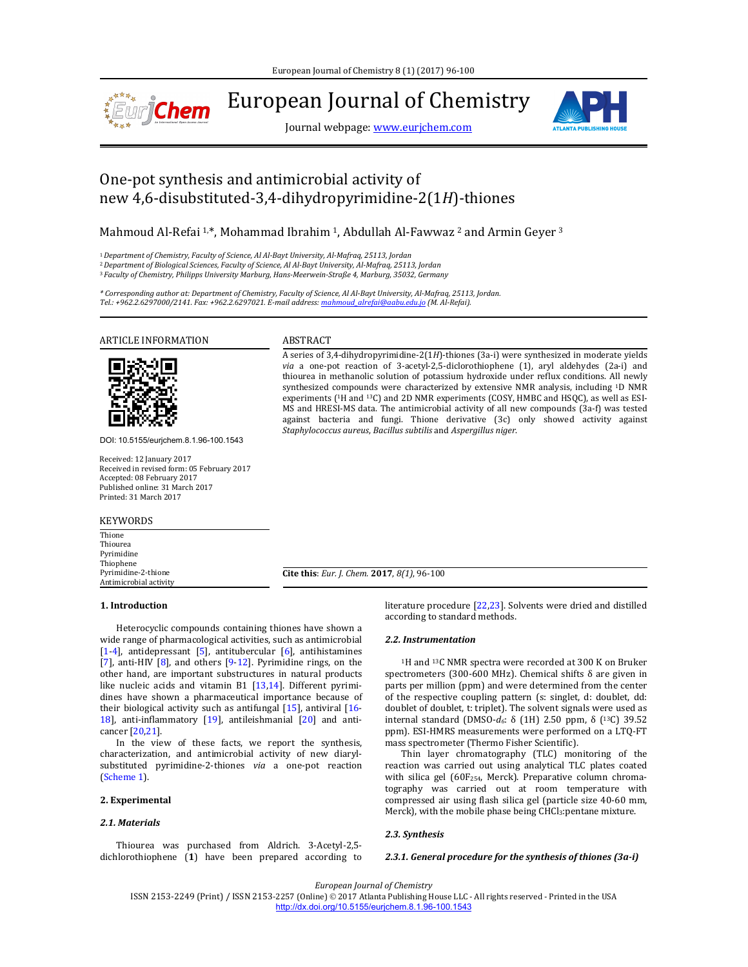

European Journal of Chemistry

Journal webpage: www.eurjchem.com



# One-pot synthesis and antimicrobial activity of new 4,6‐disubstituted‐3,4‐dihydropyrimidine‐2(1*H*)‐thiones

Mahmoud Al-Refai  $1, *$ , Mohammad Ibrahim  $1$ , Abdullah Al-Fawwaz  $2$  and Armin Geyer  $3$ 

<sup>1</sup>*Department of Chemistry, Faculty of Science, Al Al‐Bayt University, Al‐Mafraq, 25113, Jordan*

<sup>2</sup>*Department of Biological Sciences, Faculty of Science, Al Al‐Bayt University, Al‐Mafraq, 25113, Jordan* <sup>3</sup>*Faculty of Chemistry, Philipps University Marburg, Hans‐Meerwein‐Straße 4, Marburg, 35032, Germany*

\* Corresponding author at: Department of Chemistry, Faculty of Science, Al Al-Bayt University, Al-Mafraq, 25113, Jordan. *Tel.: +962.2.6297000/2141. Fax: +962.2.6297021. E‐mail address: mahmoud\_alrefai@aabu.edu.jo (M. Al‐Refai).*

ARTICLE INFORMATION ABSTRACT



DOI: 10.5155/eurjchem.8.1.96-100.1543

Received: 12 January 2017 Received in revised form: 05 February 2017 Accepted: 08 February 2017 Published online: 31 March 2017 Printed: 31 March 2017

KEYWORDS

Thione Thiourea Pyrimidine Thiophene Pyrimidine‐2‐thione Antimicrobial activity

A series of 3,4-dihydropyrimidine-2(1*H*)-thiones (3a-i) were synthesized in moderate yields *via* a one-pot reaction of 3-acetyl-2,5-diclorothiophene (1), aryl aldehydes (2a-i) and thiourea in methanolic solution of potassium hydroxide under reflux conditions. All newly synthesized compounds were characterized by extensive NMR analysis, including <sup>1</sup>D NMR experiments ( $1H$  and  $13C$ ) and 2D NMR experiments (COSY, HMBC and HSQC), as well as ESI-MS and HRESI-MS data. The antimicrobial activity of all new compounds (3a-f) was tested against bacteria and fungi. Thione derivative (3c) only showed activity against *Staphylococcus aureus*, *Bacillus subtilis* and *Aspergillus niger*.

**Cite this**: *Eur. J. Chem.* **2017**, *8(1)*, 96‐100

## **1. Introduction**

Heterocyclic compounds containing thiones have shown a wide range of pharmacological activities, such as antimicrobial [1-4], antidepressant [5], antitubercular  $[6]$ , antihistamines [7], anti-HIV  $[8]$ , and others  $[9-12]$ . Pyrimidine rings, on the other hand, are important substructures in natural products like nucleic acids and vitamin B1  $[13,14]$ . Different pyrimidines have shown a pharmaceutical importance because of their biological activity such as antifungal  $[15]$ , antiviral  $[16$ -18], anti-inflammatory  $[19]$ , antileishmanial  $[20]$  and anticancer [20,21]. 

In the view of these facts, we report the synthesis, characterization, and antimicrobial activity of new diarylsubstituted pyrimidine-2-thiones via a one-pot reaction (Scheme 1).

# **2. Experimental**

## *2.1. Materials*

Thiourea was purchased from Aldrich. 3-Acetyl-2,5dichlorothiophene (1) have been prepared according to literature procedure  $[22,23]$ . Solvents were dried and distilled according to standard methods.

### *2.2. Instrumentation*

<sup>1</sup>H and <sup>13</sup>C NMR spectra were recorded at 300 K on Bruker spectrometers  $(300-600 \text{ MHz})$ . Chemical shifts  $\delta$  are given in parts per million (ppm) and were determined from the center of the respective coupling pattern (s: singlet, d: doublet, dd: doublet of doublet, t: triplet). The solvent signals were used as internal standard (DMSO-d<sub>6</sub>: δ (1H) 2.50 ppm, δ (<sup>13</sup>C) 39.52 ppm). ESI-HMRS measurements were performed on a LTQ-FT mass spectrometer (Thermo Fisher Scientific).

Thin layer chromatography (TLC) monitoring of the reaction was carried out using analytical TLC plates coated with silica gel (60F<sub>254</sub>, Merck). Preparative column chromatography was carried out at room temperature with compressed air using flash silica gel (particle size 40-60 mm, Merck), with the mobile phase being CHCl3:pentane mixture.

## *2.3. Synthesis*

*2.3.1. General procedure for the synthesis of thiones (3a‐i)*

*European Journal of Chemistry*

ISSN 2153-2249 (Print) / ISSN 2153-2257 (Online) © 2017 Atlanta Publishing House LLC - All rights reserved - Printed in the USA http://dx.doi.org/10.5155/eurjchem.8.1.96-100.1543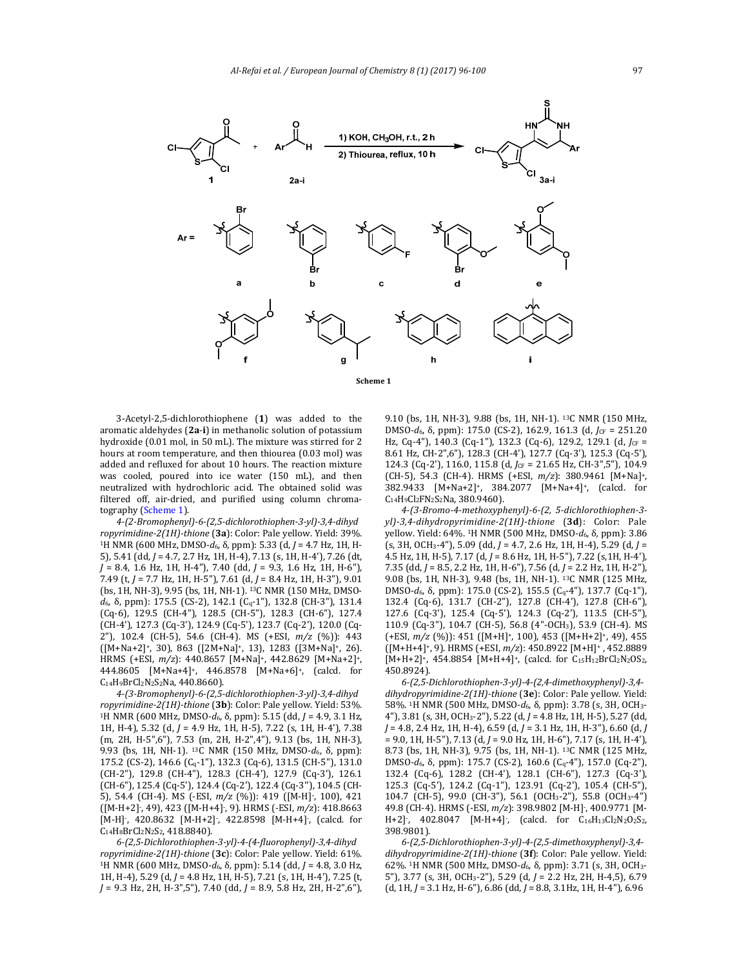

**Scheme 1**

3‐Acetyl‐2,5‐dichlorothiophene (**1**) was added to the aromatic aldehydes (2a-i) in methanolic solution of potassium hydroxide (0.01 mol, in 50 mL). The mixture was stirred for 2 hours at room temperature, and then thiourea (0.03 mol) was added and refluxed for about 10 hours. The reaction mixture was cooled, poured into ice water (150 mL), and then neutralized with hydrochloric acid. The obtained solid was filtered off, air-dried, and purified using column chromatography (Scheme 1).

*4‐(2‐Bromophenyl)‐6‐(2,5‐dichlorothiophen‐3‐yl)‐3,4‐dihyd ropyrimidine‐2(1H)‐thione* (**3a**): Color: Pale yellow. Yield: 39%. <sup>1</sup>H NMR (600 MHz, DMSO-d<sub>6</sub>, δ, ppm): 5.33 (d, *J* = 4.7 Hz, 1H, H-5), 5.41 (dd, *J* = 4.7, 2.7 Hz, 1H, H-4), 7.13 (s, 1H, H-4'), 7.26 (dt, *J* = 8.4, 1.6 Hz, 1H, H‐4"), 7.40 (dd, *J* = 9.3, 1.6 Hz, 1H, H‐6"), 7.49 (t, *J* = 7.7 Hz, 1H, H‐5"), 7.61 (d, *J* = 8.4 Hz, 1H, H‐3"), 9.01 (bs, 1H, NH-3), 9.95 (bs, 1H, NH-1). <sup>13</sup>C NMR (150 MHz, DMSO*d*<sub>6</sub>, δ, ppm): 175.5 (CS-2), 142.1 (C<sub>q</sub>-1"), 132.8 (CH-3"), 131.4 (Cq‐6), 129.5 (CH‐4"), 128.5 (CH‐5"), 128.3 (CH‐6"), 127.4 (CH‐4'), 127.3 (Cq‐3'), 124.9 (Cq‐5'), 123.7 (Cq‐2'), 120.0 (Cq‐ 2"), 102.4 (CH-5), 54.6 (CH-4). MS (+ESI,  $m/z$  (%)): 443  $([M+Na+2]^+, 30)$ , 863  $([2M+Na]^+, 13)$ , 1283  $([3M+Na]^+, 26)$ . HRMS (+ESI, *m/z*): 440.8657 [M+Na]<sup>+</sup>, 442.8629 [M+Na+2]<sup>+</sup>, 444.8605 [M+Na+4]+, 446.8578 [M+Na+6]+, (calcd. for C<sub>14</sub>H<sub>9</sub>BrCl<sub>2</sub>N<sub>2</sub>S<sub>2</sub>Na, 440.8660).

*4‐(3‐Bromophenyl)‐6‐(2,5‐dichlorothiophen‐3‐yl)‐3,4‐dihyd ropyrimidine‐2(1H)‐thione* (**3b**): Color: Pale yellow. Yield: 53%. <sup>1</sup>H NMR (600 MHz, DMSO-*d*<sub>6</sub>, δ, ppm): 5.15 (dd, *J* = 4.9, 3.1 Hz, 1H, H-4), 5.32 (d, *J* = 4.9 Hz, 1H, H-5), 7.22 (s, 1H, H-4'), 7.38 (m, 2H, H‐5",6"), 7.53 (m, 2H, H‐2",4"), 9.13 (bs, 1H, NH‐3), 9.93 (bs, 1H, NH-1). <sup>13</sup>C NMR (150 MHz, DMSO-*d*<sub>6</sub>, δ, ppm): 175.2 (CS-2), 146.6 (Cq-1"), 132.3 (Cq-6), 131.5 (CH-5"), 131.0 (CH‐2"), 129.8 (CH‐4"), 128.3 (CH‐4'), 127.9 (Cq‐3'), 126.1 (CH-6"), 125.4 (Cq-5'), 124.4 (Cq-2'), 122.4 (Cq-3"), 104.5 (CH-5), 54.4 (CH-4). MS (-ESI,  $m/z$  (%)): 419 ([M-H]<sup>-</sup>, 100), 421 ([M‐H+2]‐ , 49), 423 ([M‐H+4]‐ , 9). HRMS (‐ESI, *m/z*): 418.8663 [M-H], 420.8632 [M-H+2], 422.8598 [M-H+4], (calcd. for C<sub>14</sub>H<sub>8</sub>BrCl<sub>2</sub>N<sub>2</sub>S<sub>2</sub>, 418.8840).

*6‐(2,5‐Dichlorothiophen‐3‐yl)‐4‐(4‐fluorophenyl)‐3,4‐dihyd ropyrimidine‐2(1H)‐thione* (**3c**): Color: Pale yellow. Yield: 61%. <sup>1</sup>H NMR (600 MHz, DMSO-*d*<sub>6</sub>, δ, ppm): 5.14 (dd, *J* = 4.8, 3.0 Hz, 1H, H-4), 5.29 (d, *J* = 4.8 Hz, 1H, H-5), 7.21 (s, 1H, H-4'), 7.25 (t, *J* = 9.3 Hz, 2H, H‐3",5"), 7.40 (dd, *J* = 8.9, 5.8 Hz, 2H, H‐2",6"), 

9.10 (bs, 1H, NH-3), 9.88 (bs, 1H, NH-1). <sup>13</sup>C NMR (150 MHz, DMSO-*d*<sub>6</sub>, δ, ppm): 175.0 (CS-2), 162.9, 161.3 (d, *J*<sub>CF</sub> = 251.20</sub> Hz, Cq-4"), 140.3 (Cq-1"), 132.3 (Cq-6), 129.2, 129.1 (d, *J*CF = 8.61 Hz, CH-2",6"), 128.3 (CH-4'), 127.7 (Cq-3'), 125.3 (Cq-5'), 124.3 (Cq-2'), 116.0, 115.8 (d, *J*CF = 21.65 Hz, CH-3",5"), 104.9 (CH‐5), 54.3 (CH‐4). HRMS (+ESI, *m/z*): 380.9461 [M+Na]+, 382.9433 [M+Na+2]+, 384.2077 [M+Na+4]+, (calcd. for  $C_{14}H_{9}Cl_{2}FN_{2}S_{2}Na$ , 380.9460).

*4‐(3‐Bromo‐4‐methoxyphenyl)‐6‐(2, 5‐dichlorothiophen‐3‐ yl)‐3,4‐dihydropyrimidine‐2(1H)‐thione* (**3d**): Color: Pale yellow. Yield: 64%. 1H NMR (500 MHz, DMSO‐*d*6, δ*,* ppm): 3.86 (s, 3H, OCH3‐4"), 5.09 (dd, *J* = 4.7, 2.6 Hz, 1H, H‐4), 5.29 (d, *J* = 4.5 Hz, 1H, H‐5), 7.17 (d, *J* = 8.6 Hz, 1H, H‐5"), 7.22 (s,1H, H‐4'), 7.35 (dd, *J* = 8.5, 2.2 Hz, 1H, H‐6"), 7.56 (d, *J* = 2.2 Hz, 1H, H‐2"), 9.08 (bs, 1H, NH-3), 9.48 (bs, 1H, NH-1). <sup>13</sup>C NMR (125 MHz, DMSO-*d*<sub>6</sub>, δ, ppm): 175.0 (CS-2), 155.5 (C<sub>q</sub>-4"), 137.7 (Cq-1"), 132.4 (Cq-6), 131.7 (CH-2"), 127.8 (CH-4'), 127.8 (CH-6"), 127.6 (Cq‐3'), 125.4 (Cq‐5'), 124.3 (Cq‐2'), 113.5 (CH‐5"), 110.9 (Cq-3"), 104.7 (CH-5), 56.8 (4"-OCH3), 53.9 (CH-4). MS (+ESI,  $m/z$  (%)): 451 ([M+H]<sup>+</sup>, 100), 453 ([M+H+2]<sup>+</sup>, 49), 455 ([M+H+4]+, 9). HRMS (+ESI,  $m/z$ ): 450.8922 [M+H]+, 452.8889 [M+H+2]+, 454.8854 [M+H+4]+, (calcd. for C<sub>15</sub>H<sub>12</sub>BrCl<sub>2</sub>N<sub>2</sub>OS<sub>2</sub>, 450.8924). 

*6‐(2,5‐Dichlorothiophen‐3‐yl)‐4‐(2,4‐dimethoxyphenyl)‐3,4‐ dihydropyrimidine‐2(1H)‐thione* (**3e**): Color: Pale yellow. Yield: 58%. <sup>1</sup>H NMR (500 MHz, DMSO-d<sub>6</sub>, δ, ppm): 3.78 (s, 3H, OCH<sub>3</sub>-4"), 3.81 (s, 3H, OCH<sub>3</sub>-2"), 5.22 (d,  $J$  = 4.8 Hz, 1H, H-5), 5.27 (dd, *J* = 4.8, 2.4 Hz, 1H, H‐4), 6.59 (d, *J* = 3.1 Hz, 1H, H‐3"), 6.60 (d, *J* = 9.0, 1H, H‐5"), 7.13 (d, *J* = 9.0 Hz, 1H, H‐6"), 7.17 (s, 1H, H‐4'), 8.73 (bs, 1H, NH-3), 9.75 (bs, 1H, NH-1). <sup>13</sup>C NMR (125 MHz, DMSO-*d*<sub>6</sub>, δ, ppm): 175.7 (CS-2), 160.6 (C<sub>q</sub>-4"), 157.0 (Cq-2"), 132.4 (Cq‐6), 128.2 (CH‐4'), 128.1 (CH‐6"), 127.3 (Cq‐3'), 125.3 (Cq‐5'), 124.2 (Cq‐1"), 123.91 (Cq‐2'), 105.4 (CH‐5"), 104.7 (CH-5), 99.0 (CH-3"), 56.1 (OCH<sub>3</sub>-2"), 55.8 (OCH<sub>3</sub>-4") 49.8 (CH-4). HRMS (-ESI, m/z): 398.9802 [M-H], 400.9771 [M-H+2],  $402.8047$  [M-H+4], (calcd. for  $C_{16}H_{13}Cl_2N_2O_2S_2$ , 398.9801). 

*6‐(2,5‐Dichlorothiophen‐3‐yl)‐4‐(2,5‐dimethoxyphenyl)‐3,4‐ dihydropyrimidine‐2(1H)‐thione* (**3f**): Color: Pale yellow. Yield: 62%. 1H NMR (500 MHz, DMSO‐*d*6, δ*,* ppm): 3.71 (s, 3H, OCH3‐ 5"), 3.77 (s, 3H, OCH3‐2"), 5.29 (d, *J* = 2.2 Hz, 2H, H‐4,5), 6.79 (d, 1H, *J* = 3.1 Hz, H‐6"), 6.86 (dd, *J* = 8.8, 3.1Hz, 1H, H‐4"), 6.96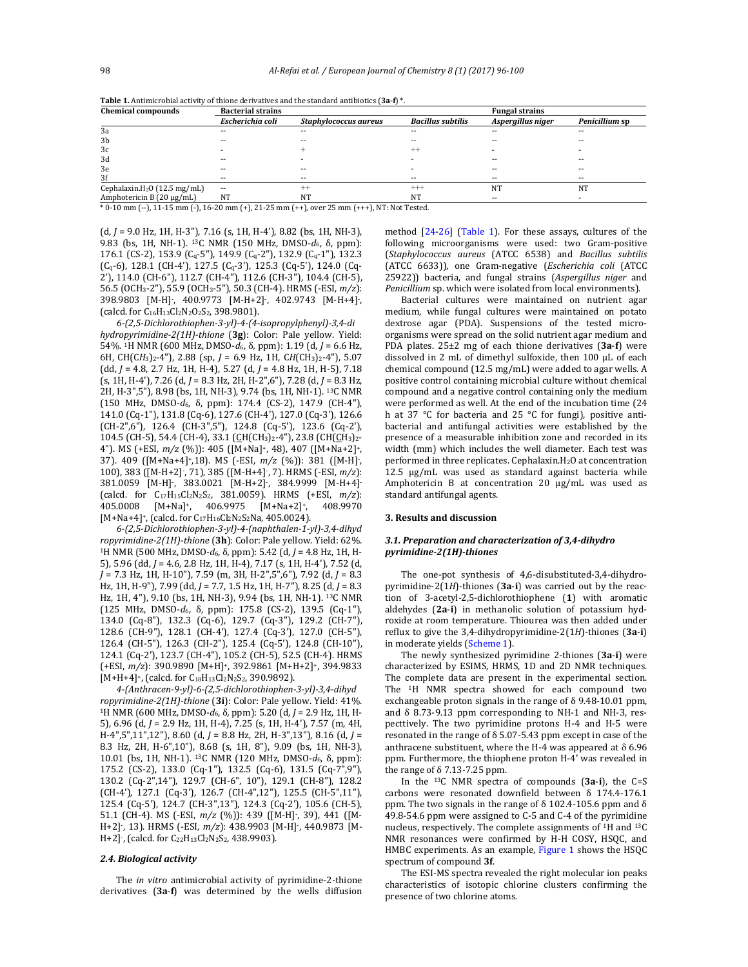| <b>Chemical compounds</b>                | <b>Bacterial strains</b> |                       |                          | <b>Fungal strains</b> |                |
|------------------------------------------|--------------------------|-----------------------|--------------------------|-----------------------|----------------|
|                                          | Escherichia coli         | Staphylococcus aureus | <b>Bacillus subtilis</b> | Aspergillus niger     | Penicillium sp |
| 3a                                       | --                       | $- -$                 |                          |                       | $-$            |
| 3b                                       |                          |                       |                          |                       |                |
| 3c                                       |                          |                       | $^{++}$                  |                       |                |
| 3d                                       |                          |                       |                          |                       | $-1$           |
| 3e                                       |                          |                       |                          |                       |                |
| 3f                                       | --                       | $- -$                 |                          |                       | $\sim$         |
| Cephalaxin.H <sub>2</sub> O (12.5 mg/mL) | $\sim$                   | $^{++}$               | $^{+++}$                 | NT                    | NT             |
| Amphotericin B $(20 \mu g/mL)$           | NT                       | NT                    | NT                       | --                    |                |

**Table 1.** Antimicrobial activity of thione derivatives and the standard antibiotics  $(3a - f)^*$ .

 $*$  0-10 mm (--), 11-15 mm (-), 16-20 mm (+), 21-25 mm (++), over 25 mm (+++), NT: Not Tested.

 $(d, J = 9.0$  Hz, 1H, H-3"), 7.16  $(s, 1H, H-4)$ , 8.82  $(bs, 1H, NH-3)$ , 9.83 (bs, 1H, NH-1). <sup>13</sup>C NMR (150 MHz, DMSO-d<sub>6</sub>, δ, ppm): 176.1 (CS-2), 153.9 (C<sub>q</sub>-5"), 149.9 (C<sub>q</sub>-2"), 132.9 (C<sub>q</sub>-1"), 132.3 (Cq‐6), 128.1 (CH‐4'), 127.5 (Cq‐3'), 125.3 (Cq‐5'), 124.0 (Cq‐ 2'), 114.0 (CH-6"), 112.7 (CH-4"), 112.6 (CH-3"), 104.4 (CH-5), 56.5 (OCH3‐2"), 55.9 (OCH3‐5"), 50.3 (CH‐4). HRMS (‐ESI, *m/z*): 398.9803 [M-H], 400.9773 [M-H+2], 402.9743 [M-H+4], (calcd. for  $C_{16}H_{13}Cl_2N_2O_2S_2$ , 398.9801).

*6‐(2,5‐Dichlorothiophen‐3‐yl)‐4‐(4‐isopropylphenyl)‐3,4‐di hydropyrimidine‐2(1H)‐thione* (**3g**): Color: Pale yellow. Yield: 54%. <sup>1</sup>H NMR (600 MHz, DMSO-d<sub>6</sub>, δ, ppm): 1.19 (d, *J* = 6.6 Hz, 6H, CH(CH<sub>3</sub>)<sub>2</sub>-4"), 2.88 (sp, *J* = 6.9 Hz, 1H, CH(CH<sub>3</sub>)<sub>2</sub>-4"), 5.07 (dd, *J* = 4.8, 2.7 Hz, 1H, H‐4), 5.27 (d, *J* = 4.8 Hz, 1H, H‐5), 7.18 (s, 1H, H‐4'), 7.26 (d, *J* = 8.3 Hz, 2H, H‐2",6"), 7.28 (d, *J* = 8.3 Hz, 2H, H-3",5"), 8.98 (bs, 1H, NH-3), 9.74 (bs, 1H, NH-1). <sup>13</sup>C NMR (150 MHz, DMSO‐*d*6, δ, ppm): 174.4 (CS‐2), 147.9 (CH‐4"), 141.0 (Cq-1"), 131.8 (Cq-6), 127.6 (CH-4'), 127.0 (Cq-3'), 126.6 (CH‐2",6"), 126.4 (CH‐3",5"), 124.8 (Cq‐5'), 123.6 (Cq‐2'), 104.5 (CH-5), 54.4 (CH-4), 33.1 (CH(CH3)2-4"), 23.8 (CH(CH3)2-4"). MS (+ESI,  $m/z$  (%)): 405 ([M+Na]<sup>+</sup>, 48), 407 ([M+Na+2]<sup>+</sup>, 37). 409 ([M+Na+4]+,18). MS (-ESI,  $m/z$  (%)): 381 ([M-H]<sup>-</sup>, 100), 383 ([M-H+2], 71), 385 ([M-H+4], 7). HRMS (-ESI,  $m/z$ ): 381.0059 [M-H], 383.0021 [M-H+2], 384.9999 [M-H+4] (calcd. for C17H15Cl2N2S2, 381.0059). HRMS (+ESI, *m/z*): 405.0008 [M+Na]+, 406.9975 [M+Na+2]+, 408.9970 [M+Na+4]<sup>+</sup>, (calcd. for C<sub>17</sub>H<sub>16</sub>Cl<sub>2</sub>N<sub>2</sub>S<sub>2</sub>Na, 405.0024).

*6‐(2,5‐Dichlorothiophen‐3‐yl)‐4‐(naphthalen‐1‐yl)‐3,4‐dihyd ropyrimidine‐2(1H)‐thione* (**3h**): Color: Pale yellow. Yield: 62%. <sup>1</sup>H NMR (500 MHz, DMSO-*d*<sub>6</sub>, δ, ppm): 5.42 (d, *J* = 4.8 Hz, 1H, H-5), 5.96 (dd, *J* = 4.6, 2.8 Hz, 1H, H-4), 7.17 (s, 1H, H-4'), 7.52 (d, *J* = 7.3 Hz, 1H, H‐10"), 7.59 (m, 3H, H‐2",5",6"), 7.92 (d, *J* = 8.3 Hz, 1H, H-9"), 7.99 (dd, *J* = 7.7, 1.5 Hz, 1H, H-7"), 8.25 (d, *J* = 8.3 Hz, 1H, 4"), 9.10 (bs, 1H, NH-3), 9.94 (bs, 1H, NH-1). <sup>13</sup>C NMR (125 MHz, DMSO‐*d*6, δ, ppm): 175.8 (CS‐2), 139.5 (Cq‐1"), 134.0 (Cq‐8"), 132.3 (Cq‐6), 129.7 (Cq‐3"), 129.2 (CH‐7"), 128.6 (CH‐9"), 128.1 (CH‐4'), 127.4 (Cq‐3'), 127.0 (CH‐5"), 126.4 (CH-5"), 126.3 (CH-2"), 125.4 (Cq-5'), 124.8 (CH-10"), 124.1 (Cq-2'), 123.7 (CH-4"), 105.2 (CH-5), 52.5 (CH-4). HRMS (+ESI, *m/z*): 390.9890 [M+H]+, 392.9861 [M+H+2]+, 394.9833  $[M+H+4]$ <sup>+</sup>, (calcd. for C<sub>18</sub>H<sub>13</sub>Cl<sub>2</sub>N<sub>2</sub>S<sub>2</sub>, 390.9892).

*4‐(Anthracen‐9‐yl)‐6‐(2,5‐dichlorothiophen‐3‐yl)‐3,4‐dihyd ropyrimidine‐2(1H)‐thione* (**3i**): Color: Pale yellow. Yield: 41%. <sup>1</sup>H NMR (600 MHz, DMSO-*d*<sub>6</sub>, δ, ppm): 5.20 (d, *J* = 2.9 Hz, 1H, H-5), 6.96 (d, *J* = 2.9 Hz, 1H, H-4), 7.25 (s, 1H, H-4'), 7.57 (m, 4H, H‐4",5",11",12"), 8.60 (d, *J* = 8.8 Hz, 2H, H‐3",13"), 8.16 (d, *J* = 8.3 Hz, 2H, H‐6",10"), 8.68 (s, 1H, 8"), 9.09 (bs, 1H, NH‐3), 10.01 (bs, 1H, NH-1). <sup>13</sup>C NMR (120 MHz, DMSO-*d*<sub>6</sub>, δ, ppm): 175.2 (CS‐2), 133.0 (Cq‐1"), 132.5 (Cq‐6), 131.5 (Cq‐7",9"), 130.2 (Cq-2",14"), 129.7 (CH-6", 10"), 129.1 (CH-8"), 128.2 (CH‐4'), 127.1 (Cq‐3'), 126.7 (CH‐4",12"), 125.5 (CH‐5",11"), 125.4 (Cq-5'), 124.7 (CH-3",13"), 124.3 (Cq-2'), 105.6 (CH-5), 51.1 (CH-4). MS (-ESI,  $m/z$  (%)): 439 ([M-H]<sup>-</sup>, 39), 441 ([M-H+2], 13). HRMS (-ESI,  $m/z$ ): 438.9903 [M-H], 440.9873 [M- $H+2$ ], (calcd. for  $C_{22}H_{13}Cl_2N_2S_2$ , 438.9903).

#### *2.4. Biological activity*

The *in vitro* antimicrobial activity of pyrimidine-2-thione derivatives (3a-f) was determined by the wells diffusion

method  $[24-26]$  (Table 1). For these assays, cultures of the following microorganisms were used: two Gram-positive (*Staphylococcus aureus* (ATCC 6538) and *Bacillus subtilis* (ATCC 6633)), one Gram‐negative (*Escherichia coli* (ATCC 25922)) bacteria, and fungal strains (Aspergillus niger and *Penicillium* sp. which were isolated from local environments).

Bacterial cultures were maintained on nutrient agar medium, while fungal cultures were maintained on potato dextrose agar (PDA). Suspensions of the tested microorganisms were spread on the solid nutrient agar medium and PDA plates. 25±2 mg of each thione derivatives (3a-f) were dissolved in 2 mL of dimethyl sulfoxide, then 100 μL of each chemical compound (12.5 mg/mL) were added to agar wells. A positive control containing microbial culture without chemical compound and a negative control containing only the medium were performed as well. At the end of the incubation time (24 h at  $37$  °C for bacteria and  $25$  °C for fungi), positive antibacterial and antifungal activities were established by the presence of a measurable inhibition zone and recorded in its width (mm) which includes the well diameter. Each test was performed in three replicates. Cephalaxin. $H_2O$  at concentration  $12.5$   $\mu$ g/mL was used as standard against bacteria while Amphotericin  $B$  at concentration  $20 \mu g/mL$  was used as standard antifungal agents.

#### **3. Results and discussion**

## *3.1. Preparation and characterization of 3,4‐dihydro pyrimidine‐2(1H)‐thiones*

The one-pot synthesis of 4,6-disubstituted-3,4-dihydropyrimidine-2(1*H*)-thiones (3a-i) was carried out by the reaction of 3-acetyl-2,5-dichlorothiophene (1) with aromatic aldehydes (2a-i) in methanolic solution of potassium hydroxide at room temperature. Thiourea was then added under reflux to give the 3,4-dihydropyrimidine-2(1H)-thiones (3a-i) in moderate yields (Scheme 1).

The newly synthesized pyrimidine 2-thiones (3a-i) were characterized by ESIMS, HRMS, 1D and 2D NMR techniques. The complete data are present in the experimental section. The <sup>1</sup>H NMR spectra showed for each compound two exchangeable proton signals in the range of  $\delta$  9.48-10.01 ppm, and  $\delta$  8.73-9.13 ppm corresponding to NH-1 and NH-3, respecttively. The two pyrimidine protons H-4 and H-5 were resonated in the range of  $\delta$  5.07-5.43 ppm except in case of the anthracene substituent, where the H-4 was appeared at  $\delta$  6.96 ppm. Furthermore, the thiophene proton H-4' was revealed in the range of  $\delta$  7.13-7.25 ppm.

In the <sup>13</sup>C NMR spectra of compounds (3a-i), the C=S carbons were resonated downfield between  $\delta$  174.4-176.1 ppm. The two signals in the range of  $\delta$  102.4-105.6 ppm and  $\delta$ 49.8-54.6 ppm were assigned to C-5 and C-4 of the pyrimidine nucleus, respectively. The complete assignments of <sup>1</sup>H and <sup>13</sup>C NMR resonances were confirmed by H-H COSY, HSQC, and HMBC experiments. As an example, Figure 1 shows the HSQC spectrum of compound **3f**.

The ESI-MS spectra revealed the right molecular ion peaks characteristics of isotopic chlorine clusters confirming the presence of two chlorine atoms.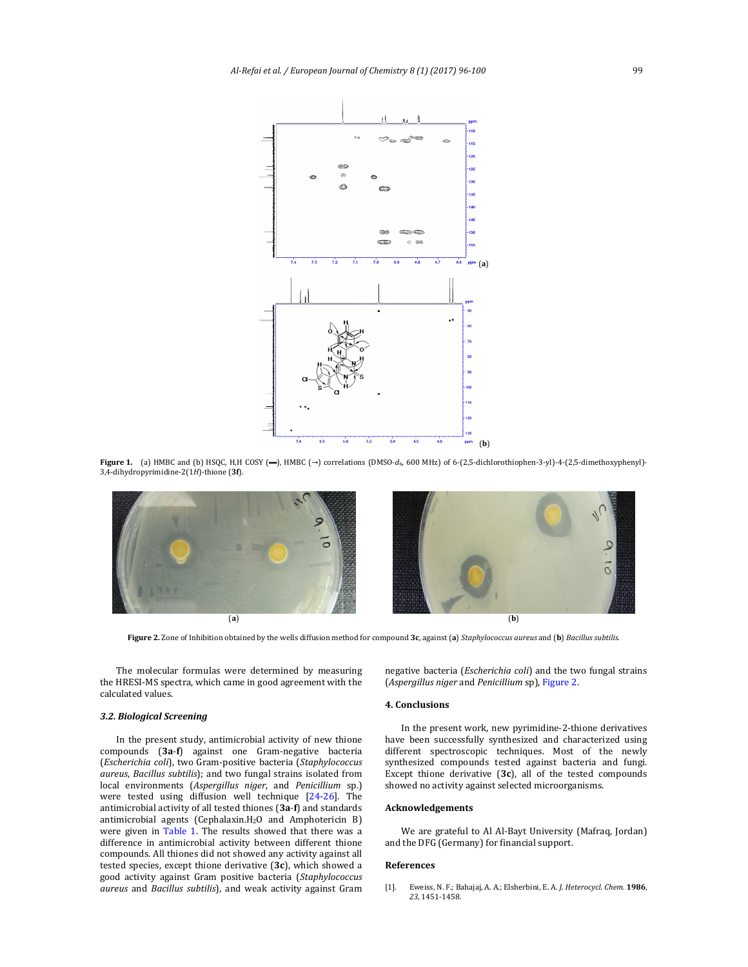

**Figure 1.** (a) HMBC and (b) HSQC, H,H COSY (━), HMBC (→) correlations (DMSO-*d*<sub>6</sub>, 600 MHz) of 6-(2,5-dichlorothiophen-3-yl)-4-(2,5-dimethoxyphenyl)-3,4‐dihydropyrimidine‐2(1*H*)‐thione (**3f**). 



Figure 2. Zone of Inhibition obtained by the wells diffusion method for compound 3c, against (a) *Staphylococcus aureus* and (b) *Bacillus subtilis*.

The molecular formulas were determined by measuring the HRESI-MS spectra, which came in good agreement with the calculated values.

## *3.2. Biological Screening*

In the present study, antimicrobial activity of new thione compounds (3a-f) against one Gram-negative bacteria (*Escherichia coli*), two Gram‐positive bacteria (*Staphylococcus aureus*, *Bacillus subtilis*); and two fungal strains isolated from local environments (*Aspergillus niger*, and *Penicillium* sp.) were tested using diffusion well technique [24-26]. The antimicrobial activity of all tested thiones (3a-f) and standards antimicrobial agents (Cephalaxin.H<sub>2</sub>O and Amphotericin B) were given in Table 1. The results showed that there was a difference in antimicrobial activity between different thione compounds. All thiones did not showed any activity against all tested species, except thione derivative (3c), which showed a good activity against Gram positive bacteria (*Staphylococcus aureus* and *Bacillus subtilis*), and weak activity against Gram  negative bacteria (*Escherichia coli*) and the two fungal strains (*Aspergillus niger* and *Penicillium* sp), Figure 2. 

## **4. Conclusions**

In the present work, new pyrimidine-2-thione derivatives have been successfully synthesized and characterized using different spectroscopic techniques. Most of the newly synthesized compounds tested against bacteria and fungi. Except thione derivative  $(3c)$ , all of the tested compounds showed no activity against selected microorganisms.

# **Acknowledgements**

We are grateful to Al Al-Bayt University (Mafraq, Jordan) and the DFG (Germany) for financial support.

#### **References**

[1]. Eweiss, N. F.; Bahajaj, A. A.; Elsherbini, E. A*. J. Heterocycl. Chem.* **1986**, *23*, 1451‐1458.